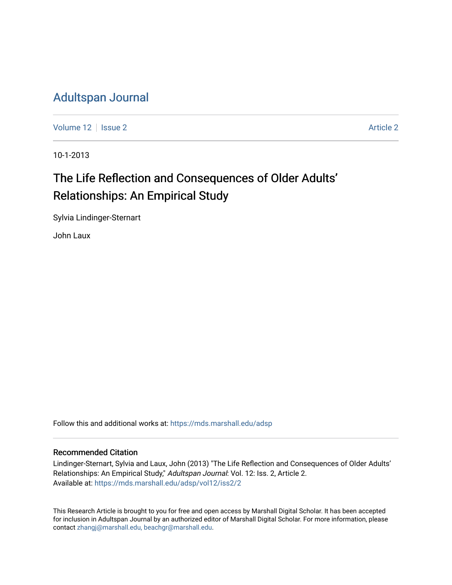### [Adultspan Journal](https://mds.marshall.edu/adsp)

[Volume 12](https://mds.marshall.edu/adsp/vol12) | [Issue 2](https://mds.marshall.edu/adsp/vol12/iss2) [Article 2](https://mds.marshall.edu/adsp/vol12/iss2/2) Article 2 Article 2 Article 2 Article 2 Article 2 Article 2

10-1-2013

## The Life Reflection and Consequences of Older Adults' Relationships: An Empirical Study

Sylvia Lindinger-Sternart

John Laux

Follow this and additional works at: [https://mds.marshall.edu/adsp](https://mds.marshall.edu/adsp?utm_source=mds.marshall.edu%2Fadsp%2Fvol12%2Fiss2%2F2&utm_medium=PDF&utm_campaign=PDFCoverPages) 

#### Recommended Citation

Lindinger-Sternart, Sylvia and Laux, John (2013) "The Life Reflection and Consequences of Older Adults' Relationships: An Empirical Study," Adultspan Journal: Vol. 12: Iss. 2, Article 2. Available at: [https://mds.marshall.edu/adsp/vol12/iss2/2](https://mds.marshall.edu/adsp/vol12/iss2/2?utm_source=mds.marshall.edu%2Fadsp%2Fvol12%2Fiss2%2F2&utm_medium=PDF&utm_campaign=PDFCoverPages) 

This Research Article is brought to you for free and open access by Marshall Digital Scholar. It has been accepted for inclusion in Adultspan Journal by an authorized editor of Marshall Digital Scholar. For more information, please contact [zhangj@marshall.edu, beachgr@marshall.edu](mailto:zhangj@marshall.edu,%20beachgr@marshall.edu).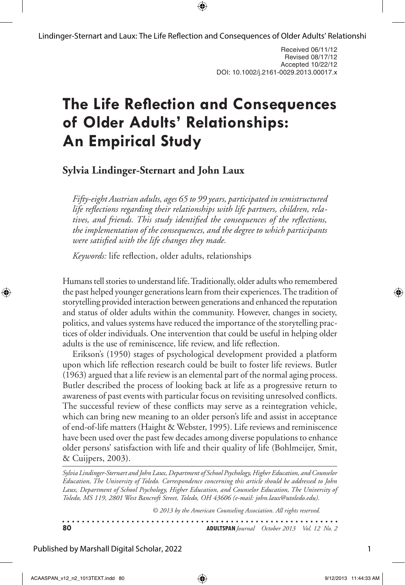Lindinger-Sternart and Laux: The Life Reflection and Consequences of Older Adults' Relationshi

# **The Life Reflection and Consequences of Older Adults' Relationships: An Empirical Study**

### **Sylvia Lindinger-Sternart and John Laux**

*Fifty-eight Austrian adults, ages 65 to 99 years, participated in semistructured life reflections regarding their relationships with life partners, children, relatives, and friends. This study identified the consequences of the reflections, the implementation of the consequences, and the degree to which participants were satisfied with the life changes they made.* 

*Keywords:* life reflection, older adults, relationships

Humans tell stories to understand life. Traditionally, older adults who remembered the past helped younger generations learn from their experiences. The tradition of storytelling provided interaction between generations and enhanced the reputation and status of older adults within the community. However, changes in society, politics, and values systems have reduced the importance of the storytelling practices of older individuals. One intervention that could be useful in helping older adults is the use of reminiscence, life review, and life reflection.

Erikson's (1950) stages of psychological development provided a platform upon which life reflection research could be built to foster life reviews. Butler (1963) argued that a life review is an elemental part of the normal aging process. Butler described the process of looking back at life as a progressive return to awareness of past events with particular focus on revisiting unresolved conflicts. The successful review of these conflicts may serve as a reintegration vehicle, which can bring new meaning to an older person's life and assist in acceptance of end-of-life matters (Haight & Webster, 1995). Life reviews and reminiscence have been used over the past few decades among diverse populations to enhance older persons' satisfaction with life and their quality of life (Bohlmeijer, Smit, & Cuijpers, 2003).

*Sylvia Lindinger-Sternart and John Laux, Department of School Psychology, Higher Education, and Counselor Education, The University of Toledo. Correspondence concerning this article should be addressed to John Laux, Department of School Psychology, Higher Education, and Counselor Education, The University of Toledo, MS 119, 2801 West Bancroft Street, Toledo, OH 43606 (e-mail: john.laux@utoledo.edu).*

*© 2013 by the American Counseling Association. All rights reserved.*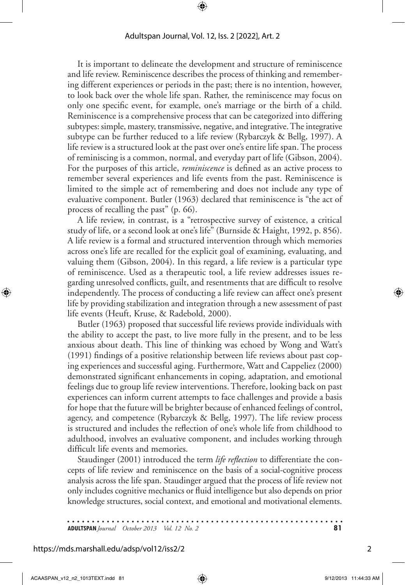It is important to delineate the development and structure of reminiscence and life review. Reminiscence describes the process of thinking and remembering different experiences or periods in the past; there is no intention, however, to look back over the whole life span. Rather, the reminiscence may focus on only one specific event, for example, one's marriage or the birth of a child. Reminiscence is a comprehensive process that can be categorized into differing subtypes: simple, mastery, transmissive, negative, and integrative. The integrative subtype can be further reduced to a life review (Rybarczyk & Bellg, 1997). A life review is a structured look at the past over one's entire life span. The process of reminiscing is a common, normal, and everyday part of life (Gibson, 2004). For the purposes of this article, *reminiscence* is defined as an active process to remember several experiences and life events from the past. Reminiscence is limited to the simple act of remembering and does not include any type of evaluative component. Butler (1963) declared that reminiscence is "the act of process of recalling the past" (p. 66).

A life review, in contrast, is a "retrospective survey of existence, a critical study of life, or a second look at one's life" (Burnside & Haight, 1992, p. 856). A life review is a formal and structured intervention through which memories across one's life are recalled for the explicit goal of examining, evaluating, and valuing them (Gibson, 2004). In this regard, a life review is a particular type of reminiscence. Used as a therapeutic tool, a life review addresses issues regarding unresolved conflicts, guilt, and resentments that are difficult to resolve independently. The process of conducting a life review can affect one's present life by providing stabilization and integration through a new assessment of past life events (Heuft, Kruse, & Radebold, 2000).

Butler (1963) proposed that successful life reviews provide individuals with the ability to accept the past, to live more fully in the present, and to be less anxious about death. This line of thinking was echoed by Wong and Watt's (1991) findings of a positive relationship between life reviews about past coping experiences and successful aging. Furthermore, Watt and Cappeliez (2000) demonstrated significant enhancements in coping, adaptation, and emotional feelings due to group life review interventions. Therefore, looking back on past experiences can inform current attempts to face challenges and provide a basis for hope that the future will be brighter because of enhanced feelings of control, agency, and competence (Rybarczyk & Bellg, 1997). The life review process is structured and includes the reflection of one's whole life from childhood to adulthood, involves an evaluative component, and includes working through difficult life events and memories.

Staudinger (2001) introduced the term *life reflection* to differentiate the concepts of life review and reminiscence on the basis of a social-cognitive process analysis across the life span. Staudinger argued that the process of life review not only includes cognitive mechanics or fluid intelligence but also depends on prior knowledge structures, social context, and emotional and motivational elements.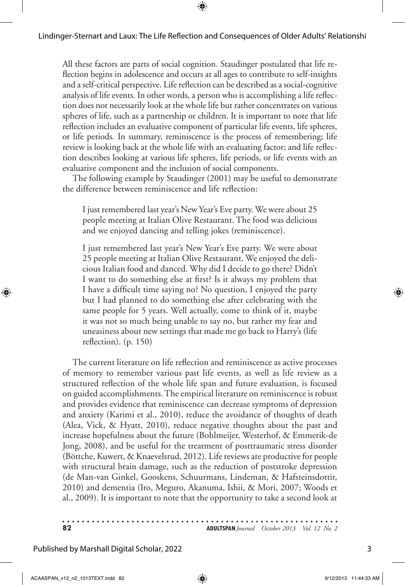All these factors are parts of social cognition. Staudinger postulated that life reflection begins in adolescence and occurs at all ages to contribute to self-insights and a self-critical perspective. Life reflection can be described as a social-cognitive analysis of life events. In other words, a person who is accomplishing a life reflection does not necessarily look at the whole life but rather concentrates on various spheres of life, such as a partnership or children. It is important to note that life reflection includes an evaluative component of particular life events, life spheres, or life periods. In summary, reminiscence is the process of remembering; life review is looking back at the whole life with an evaluating factor; and life reflection describes looking at various life spheres, life periods, or life events with an evaluative component and the inclusion of social components.

The following example by Staudinger (2001) may be useful to demonstrate the difference between reminiscence and life reflection:

I just remembered last year's New Year's Eve party. We were about 25 people meeting at Italian Olive Restaurant. The food was delicious and we enjoyed dancing and telling jokes (reminiscence).

I just remembered last year's New Year's Eve party. We were about 25 people meeting at Italian Olive Restaurant. We enjoyed the delicious Italian food and danced. Why did I decide to go there? Didn't I want to do something else at first? Is it always my problem that I have a difficult time saying no? No question, I enjoyed the party but I had planned to do something else after celebrating with the same people for 5 years. Well actually, come to think of it, maybe it was not so much being unable to say no, but rather my fear and uneasiness about new settings that made me go back to Harry's (life reflection). (p. 150)

The current literature on life reflection and reminiscence as active processes of memory to remember various past life events, as well as life review as a structured reflection of the whole life span and future evaluation, is focused on guided accomplishments. The empirical literature on reminiscence is robust and provides evidence that reminiscence can decrease symptoms of depression and anxiety (Karimi et al., 2010), reduce the avoidance of thoughts of death (Alea, Vick, & Hyatt, 2010), reduce negative thoughts about the past and increase hopefulness about the future (Bohlmeijer, Westerhof, & Emmerik-de Jong, 2008), and be useful for the treatment of posttraumatic stress disorder (Böttche, Kuwert, & Knaevelsrud, 2012). Life reviews are productive for people with structural brain damage, such as the reduction of poststroke depression (de Man-van Ginkel, Gooskens, Schuurmans, Lindeman, & Hafsteinsdottir, 2010) and dementia (Ito, Meguro, Akanuma, Ishii, & Mori, 2007; Woods et al., 2009). It is important to note that the opportunity to take a second look at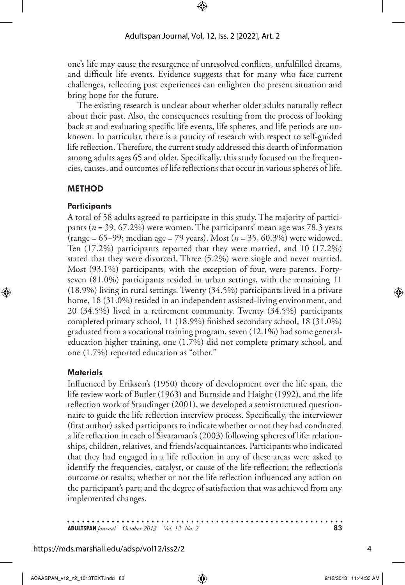one's life may cause the resurgence of unresolved conflicts, unfulfilled dreams, and difficult life events. Evidence suggests that for many who face current challenges, reflecting past experiences can enlighten the present situation and bring hope for the future.

The existing research is unclear about whether older adults naturally reflect about their past. Also, the consequences resulting from the process of looking back at and evaluating specific life events, life spheres, and life periods are unknown. In particular, there is a paucity of research with respect to self-guided life reflection. Therefore, the current study addressed this dearth of information among adults ages 65 and older. Specifically, this study focused on the frequencies, causes, and outcomes of life reflections that occur in various spheres of life.

#### **Method**

#### **Participants**

A total of 58 adults agreed to participate in this study. The majority of participants (*n* = 39, 67.2%) were women. The participants' mean age was 78.3 years (range = 65–99; median age = 79 years). Most (*n* = 35, 60.3%) were widowed. Ten (17.2%) participants reported that they were married, and 10 (17.2%) stated that they were divorced. Three (5.2%) were single and never married. Most (93.1%) participants, with the exception of four, were parents. Fortyseven (81.0%) participants resided in urban settings, with the remaining 11 (18.9%) living in rural settings. Twenty (34.5%) participants lived in a private home, 18 (31.0%) resided in an independent assisted-living environment, and 20 (34.5%) lived in a retirement community. Twenty (34.5%) participants completed primary school, 11 (18.9%) finished secondary school, 18 (31.0%) graduated from a vocational training program, seven (12.1%) had some generaleducation higher training, one (1.7%) did not complete primary school, and one (1.7%) reported education as "other."

#### **Materials**

Influenced by Erikson's (1950) theory of development over the life span, the life review work of Butler (1963) and Burnside and Haight (1992), and the life reflection work of Staudinger (2001), we developed a semistructured questionnaire to guide the life reflection interview process. Specifically, the interviewer (first author) asked participants to indicate whether or not they had conducted a life reflection in each of Sivaraman's (2003) following spheres of life: relationships, children, relatives, and friends/acquaintances. Participants who indicated that they had engaged in a life reflection in any of these areas were asked to identify the frequencies, catalyst, or cause of the life reflection; the reflection's outcome or results; whether or not the life reflection influenced any action on the participant's part; and the degree of satisfaction that was achieved from any implemented changes.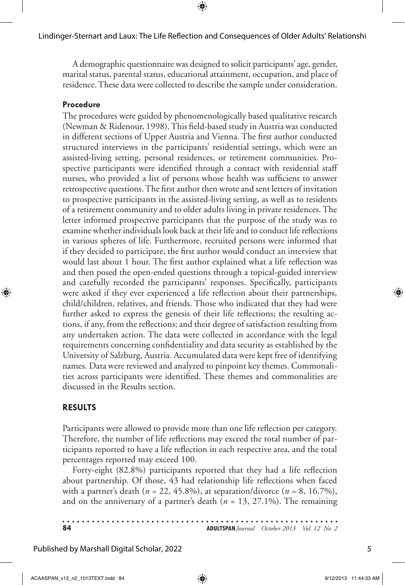A demographic questionnaire was designed to solicit participants' age, gender, marital status, parental status, educational attainment, occupation, and place of residence. These data were collected to describe the sample under consideration.

#### **Procedure**

The procedures were guided by phenomenologically based qualitative research (Newman & Ridenour, 1998). This field-based study in Austria was conducted in different sections of Upper Austria and Vienna. The first author conducted structured interviews in the participants' residential settings, which were an assisted-living setting, personal residences, or retirement communities. Prospective participants were identified through a contact with residential staff nurses, who provided a list of persons whose health was sufficient to answer retrospective questions. The first author then wrote and sent letters of invitation to prospective participants in the assisted-living setting, as well as to residents of a retirement community and to older adults living in private residences. The letter informed prospective participants that the purpose of the study was to examine whether individuals look back at their life and to conduct life reflections in various spheres of life. Furthermore, recruited persons were informed that if they decided to participate, the first author would conduct an interview that would last about 1 hour. The first author explained what a life reflection was and then posed the open-ended questions through a topical-guided interview and carefully recorded the participants' responses. Specifically, participants were asked if they ever experienced a life reflection about their partnerships, child/children, relatives, and friends. Those who indicated that they had were further asked to express the genesis of their life reflections; the resulting actions, if any, from the reflections; and their degree of satisfaction resulting from any undertaken action. The data were collected in accordance with the legal requirements concerning confidentiality and data security as established by the University of Salzburg, Austria. Accumulated data were kept free of identifying names. Data were reviewed and analyzed to pinpoint key themes. Commonalities across participants were identified. These themes and commonalities are discussed in the Results section.

#### **Results**

Participants were allowed to provide more than one life reflection per category. Therefore, the number of life reflections may exceed the total number of participants reported to have a life reflection in each respective area, and the total percentages reported may exceed 100.

Forty-eight (82.8%) participants reported that they had a life reflection about partnership. Of those, 43 had relationship life reflections when faced with a partner's death ( $n = 22, 45.8\%$ ), at separation/divorce ( $n = 8, 16.7\%$ ), and on the anniversary of a partner's death (*n* = 13, 27.1%). The remaining

| 84 | <b>ADULTSPAN</b> Journal October 2013 Vol. 12 No. 2 |  |
|----|-----------------------------------------------------|--|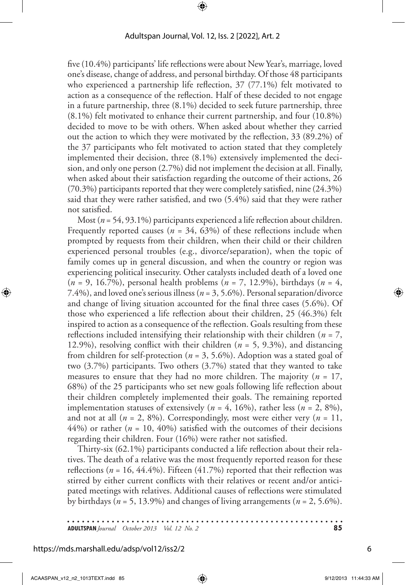five (10.4%) participants' life reflections were about New Year's, marriage, loved one's disease, change of address, and personal birthday. Of those 48 participants who experienced a partnership life reflection, 37 (77.1%) felt motivated to action as a consequence of the reflection. Half of these decided to not engage in a future partnership, three (8.1%) decided to seek future partnership, three (8.1%) felt motivated to enhance their current partnership, and four (10.8%) decided to move to be with others. When asked about whether they carried out the action to which they were motivated by the reflection, 33 (89.2%) of the 37 participants who felt motivated to action stated that they completely implemented their decision, three (8.1%) extensively implemented the decision, and only one person (2.7%) did not implement the decision at all. Finally, when asked about their satisfaction regarding the outcome of their actions, 26 (70.3%) participants reported that they were completely satisfied, nine (24.3%) said that they were rather satisfied, and two (5.4%) said that they were rather not satisfied.

Most (*n* = 54, 93.1%) participants experienced a life reflection about children. Frequently reported causes ( $n = 34, 63\%$ ) of these reflections include when prompted by requests from their children, when their child or their children experienced personal troubles (e.g., divorce/separation), when the topic of family comes up in general discussion, and when the country or region was experiencing political insecurity. Other catalysts included death of a loved one (*n* = 9, 16.7%), personal health problems (*n* = 7, 12.9%), birthdays (*n* = 4, 7.4%), and loved one's serious illness (*n* = 3, 5.6%). Personal separation/divorce and change of living situation accounted for the final three cases (5.6%). Of those who experienced a life reflection about their children, 25 (46.3%) felt inspired to action as a consequence of the reflection. Goals resulting from these reflections included intensifying their relationship with their children (*n* = 7, 12.9%), resolving conflict with their children (*n* = 5, 9.3%), and distancing from children for self-protection (*n* = 3, 5.6%). Adoption was a stated goal of two (3.7%) participants. Two others (3.7%) stated that they wanted to take measures to ensure that they had no more children. The majority  $(n = 17)$ , 68%) of the 25 participants who set new goals following life reflection about their children completely implemented their goals. The remaining reported implementation statuses of extensively ( $n = 4$ , 16%), rather less ( $n = 2$ , 8%), and not at all  $(n = 2, 8\%)$ . Correspondingly, most were either very  $(n = 11,$  $44\%$ ) or rather ( $n = 10, 40\%$ ) satisfied with the outcomes of their decisions regarding their children. Four (16%) were rather not satisfied.

Thirty-six (62.1%) participants conducted a life reflection about their relatives. The death of a relative was the most frequently reported reason for these reflections ( $n = 16, 44.4\%$ ). Fifteen (41.7%) reported that their reflection was stirred by either current conflicts with their relatives or recent and/or anticipated meetings with relatives. Additional causes of reflections were stimulated by birthdays ( $n = 5$ , 13.9%) and changes of living arrangements ( $n = 2, 5.6\%$ ).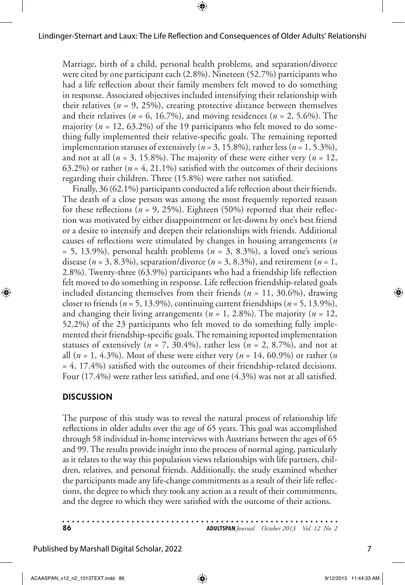Marriage, birth of a child, personal health problems, and separation/divorce were cited by one participant each (2.8%). Nineteen (52.7%) participants who had a life reflection about their family members felt moved to do something in response. Associated objectives included intensifying their relationship with their relatives ( $n = 9, 25\%$ ), creating protective distance between themselves and their relatives ( $n = 6$ , 16.7%), and moving residences ( $n = 2, 5.6\%$ ). The majority (*n* = 12, 63.2%) of the 19 participants who felt moved to do something fully implemented their relative-specific goals. The remaining reported implementation statuses of extensively ( $n = 3, 15.8\%$ ), rather less ( $n = 1, 5.3\%$ ), and not at all  $(n = 3, 15.8\%)$ . The majority of these were either very  $(n = 12,$ 63.2%) or rather ( $n = 4$ , 21.1%) satisfied with the outcomes of their decisions regarding their children. Three (15.8%) were rather not satisfied.

Finally, 36 (62.1%) participants conducted a life reflection about their friends. The death of a close person was among the most frequently reported reason for these reflections ( $n = 9, 25\%$ ). Eighteen (50%) reported that their reflection was motivated by either disappointment or let-downs by one's best friend or a desire to intensify and deepen their relationships with friends. Additional causes of reflections were stimulated by changes in housing arrangements (*n*  $= 5, 13.9\%$ ), personal health problems ( $n = 3, 8.3\%$ ), a loved one's serious disease ( $n = 3, 8.3\%$ ), separation/divorce ( $n = 3, 8.3\%$ ), and retirement ( $n = 1$ , 2.8%). Twenty-three (63.9%) participants who had a friendship life reflection felt moved to do something in response. Life reflection friendship-related goals included distancing themselves from their friends (*n* = 11, 30.6%), drawing closer to friends  $(n = 5, 13.9\%)$ , continuing current friendships  $(n = 5, 13.9\%)$ , and changing their living arrangements ( $n = 1, 2.8\%$ ). The majority ( $n = 12$ , 52.2%) of the 23 participants who felt moved to do something fully implemented their friendship-specific goals. The remaining reported implementation statuses of extensively ( $n = 7$ , 30.4%), rather less ( $n = 2$ , 8.7%), and not at all (*n* = 1, 4.3%). Most of these were either very (*n* = 14, 60.9%) or rather (*n* = 4, 17.4%) satisfied with the outcomes of their friendship-related decisions. Four (17.4%) were rather less satisfied, and one (4.3%) was not at all satisfied.

#### **Discussion**

The purpose of this study was to reveal the natural process of relationship life reflections in older adults over the age of 65 years. This goal was accomplished through 58 individual in-home interviews with Austrians between the ages of 65 and 99. The results provide insight into the process of normal aging, particularly as it relates to the way this population views relationships with life partners, children, relatives, and personal friends. Additionally, the study examined whether the participants made any life-change commitments as a result of their life reflections, the degree to which they took any action as a result of their commitments, and the degree to which they were satisfied with the outcome of their actions.

| -86 | <b>ADULTSPAN</b> Journal October 2013 Vol. 12 No. 2 |  |
|-----|-----------------------------------------------------|--|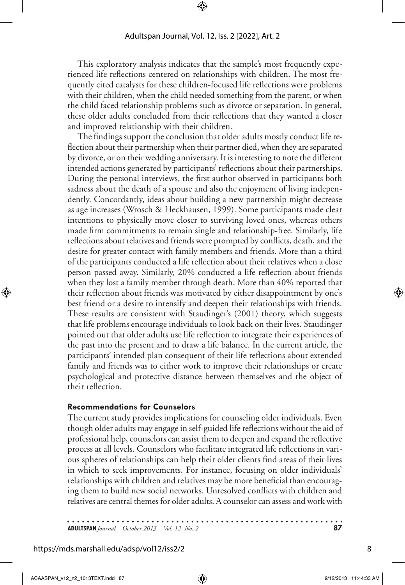This exploratory analysis indicates that the sample's most frequently experienced life reflections centered on relationships with children. The most frequently cited catalysts for these children-focused life reflections were problems with their children, when the child needed something from the parent, or when the child faced relationship problems such as divorce or separation. In general, these older adults concluded from their reflections that they wanted a closer and improved relationship with their children.

The findings support the conclusion that older adults mostly conduct life reflection about their partnership when their partner died, when they are separated by divorce, or on their wedding anniversary. It is interesting to note the different intended actions generated by participants' reflections about their partnerships. During the personal interviews, the first author observed in participants both sadness about the death of a spouse and also the enjoyment of living independently. Concordantly, ideas about building a new partnership might decrease as age increases (Wrosch & Heckhausen, 1999). Some participants made clear intentions to physically move closer to surviving loved ones, whereas others made firm commitments to remain single and relationship-free. Similarly, life reflections about relatives and friends were prompted by conflicts, death, and the desire for greater contact with family members and friends. More than a third of the participants conducted a life reflection about their relatives when a close person passed away. Similarly, 20% conducted a life reflection about friends when they lost a family member through death. More than 40% reported that their reflection about friends was motivated by either disappointment by one's best friend or a desire to intensify and deepen their relationships with friends. These results are consistent with Staudinger's (2001) theory, which suggests that life problems encourage individuals to look back on their lives. Staudinger pointed out that older adults use life reflection to integrate their experiences of the past into the present and to draw a life balance. In the current article, the participants' intended plan consequent of their life reflections about extended family and friends was to either work to improve their relationships or create psychological and protective distance between themselves and the object of their reflection.

#### **Recommendations for Counselors**

The current study provides implications for counseling older individuals. Even though older adults may engage in self-guided life reflections without the aid of professional help, counselors can assist them to deepen and expand the reflective process at all levels. Counselors who facilitate integrated life reflections in various spheres of relationships can help their older clients find areas of their lives in which to seek improvements. For instance, focusing on older individuals' relationships with children and relatives may be more beneficial than encouraging them to build new social networks. Unresolved conflicts with children and relatives are central themes for older adults. A counselor can assess and work with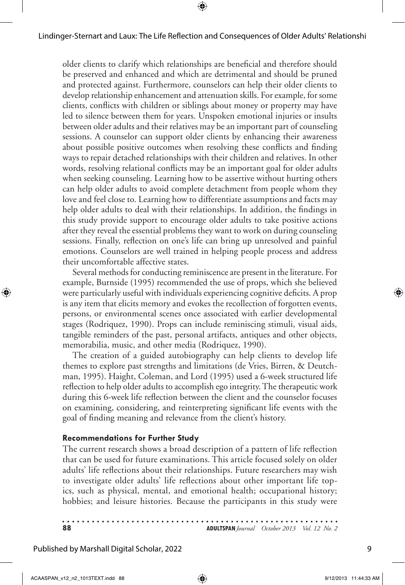older clients to clarify which relationships are beneficial and therefore should be preserved and enhanced and which are detrimental and should be pruned and protected against. Furthermore, counselors can help their older clients to develop relationship enhancement and attenuation skills. For example, for some clients, conflicts with children or siblings about money or property may have led to silence between them for years. Unspoken emotional injuries or insults between older adults and their relatives may be an important part of counseling sessions. A counselor can support older clients by enhancing their awareness about possible positive outcomes when resolving these conflicts and finding ways to repair detached relationships with their children and relatives. In other words, resolving relational conflicts may be an important goal for older adults when seeking counseling. Learning how to be assertive without hurting others can help older adults to avoid complete detachment from people whom they love and feel close to. Learning how to differentiate assumptions and facts may help older adults to deal with their relationships. In addition, the findings in this study provide support to encourage older adults to take positive actions after they reveal the essential problems they want to work on during counseling sessions. Finally, reflection on one's life can bring up unresolved and painful emotions. Counselors are well trained in helping people process and address their uncomfortable affective states.

Several methods for conducting reminiscence are present in the literature. For example, Burnside (1995) recommended the use of props, which she believed were particularly useful with individuals experiencing cognitive deficits. A prop is any item that elicits memory and evokes the recollection of forgotten events, persons, or environmental scenes once associated with earlier developmental stages (Rodriquez, 1990). Props can include reminiscing stimuli, visual aids, tangible reminders of the past, personal artifacts, antiques and other objects, memorabilia, music, and other media (Rodriquez, 1990).

The creation of a guided autobiography can help clients to develop life themes to explore past strengths and limitations (de Vries, Birren, & Deutchman, 1995). Haight, Coleman, and Lord (1995) used a 6-week structured life reflection to help older adults to accomplish ego integrity. The therapeutic work during this 6-week life reflection between the client and the counselor focuses on examining, considering, and reinterpreting significant life events with the goal of finding meaning and relevance from the client's history.

#### **Recommendations for Further Study**

The current research shows a broad description of a pattern of life reflection that can be used for future examinations. This article focused solely on older adults' life reflections about their relationships. Future researchers may wish to investigate older adults' life reflections about other important life topics, such as physical, mental, and emotional health; occupational history; hobbies; and leisure histories. Because the participants in this study were

| 88 | <b>ADULTSPAN</b> Journal October 2013 Vol. 12 No. 2 |  |
|----|-----------------------------------------------------|--|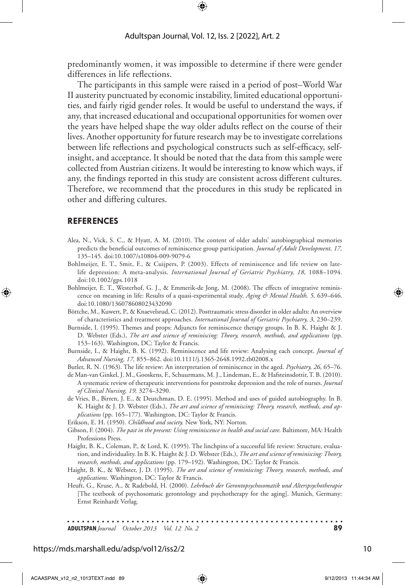predominantly women, it was impossible to determine if there were gender differences in life reflections.

The participants in this sample were raised in a period of post–World War II austerity punctuated by economic instability, limited educational opportunities, and fairly rigid gender roles. It would be useful to understand the ways, if any, that increased educational and occupational opportunities for women over the years have helped shape the way older adults reflect on the course of their lives. Another opportunity for future research may be to investigate correlations between life reflections and psychological constructs such as self-efficacy, selfinsight, and acceptance. It should be noted that the data from this sample were collected from Austrian citizens. It would be interesting to know which ways, if any, the findings reported in this study are consistent across different cultures. Therefore, we recommend that the procedures in this study be replicated in other and differing cultures.

#### **References**

- Alea, N., Vick, S. C., & Hyatt, A. M. (2010). The content of older adults' autobiographical memories predicts the beneficial outcomes of reminiscence group participation. *Journal of Adult Development, 17,* 135–145. doi:10.1007/s10804-009-9079-6
- Bohlmeijer, E. T., Smit, F., & Cuijpers, P. (2003). Effects of reminiscence and life review on latelife depression: A meta-analysis. *International Journal of Geriatric Psychiatry, 18, 1088-1094*. doi:10.1002/gps.1018
- Bohlmeijer, E. T., Westerhof, G. J., & Emmerik-de Jong, M. (2008). The effects of integrative reminiscence on meaning in life: Results of a quasi-experimental study. *Aging & Mental Health, 5,* 639–646. doi:10.1080/136078608023432090
- Böttche, M., Kuwert, P., & Knaevelsrud, C. (2012). Posttraumatic stress disorder in older adults: An overview of characteristics and treatment approaches. *International Journal of Geriatric Psychiatry, 3,* 230–239.
- Burnside, I. (1995). Themes and props: Adjuncts for reminiscence therapy groups. In B. K. Haight & J. D. Webster (Eds.), *The art and science of reminiscing: Theory, research, methods, and applications* (pp. 153–163). Washington, DC: Taylor & Francis.
- Burnside, I., & Haight, B. K. (1992). Reminiscence and life review: Analysing each concept. *Journal of Advanced Nursing, 17,* 855–862. doi:10.1111/j.1365-2648.1992.tb02008.x
- Butler, R. N. (1963). The life review: An interpretation of reminiscence in the aged. *Psychiatry, 26,* 65–76.
- de Man-van Ginkel, J. M., Gooskens, F., Schuurmans, M. J., Lindeman, E., & Hafsteinsdottir, T. B. (2010). A systematic review of therapeutic interventions for poststroke depression and the role of nurses. *Journal of Clinical Nursing, 19,* 3274–3290.
- de Vries, B., Birren, J. E., & Deutchman, D. E. (1995). Method and uses of guided autobiography. In B. K. Haight & J. D. Webster (Eds.), *The art and science of reminiscing: Theory, research, methods, and applications* (pp. 165–177). Washington, DC: Taylor & Francis.

Erikson, E. H. (1950). *Childhood and society.* New York, NY: Norton.

- Gibson, F. (2004). *The past in the present: Using reminiscence in health and social care*. Baltimore, MA: Health Professions Press.
- Haight, B. K., Coleman, P., & Lord, K. (1995). The linchpins of a successful life review: Structure, evaluation, and individuality. In B. K. Haight & J. D. Webster (Eds.), *The art and science of reminiscing: Theory, research, methods, and applications* (pp. 179–192). Washington, DC: Taylor & Francis.
- Haight, B. K., & Webster, J. D. (1995). *The art and science of reminiscing: Theory, research, methods, and applications*. Washington, DC: Taylor & Francis.
- Heuft, G., Kruse, A., & Radebold, H. (2000). *Lehrbuch der Gerontopsychosomatik und Alterspsychotherapie*  [The textbook of psychosomatic gerontology and psychotherapy for the aging]. Munich, Germany: Ernst Reinhardt Verlag.